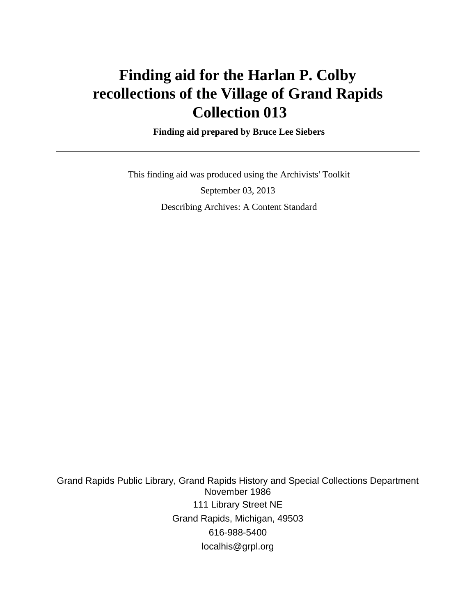# **Finding aid for the Harlan P. Colby recollections of the Village of Grand Rapids Collection 013**

 **Finding aid prepared by Bruce Lee Siebers**

 This finding aid was produced using the Archivists' Toolkit September 03, 2013 Describing Archives: A Content Standard

Grand Rapids Public Library, Grand Rapids History and Special Collections Department November 1986 111 Library Street NE Grand Rapids, Michigan, 49503 616-988-5400 localhis@grpl.org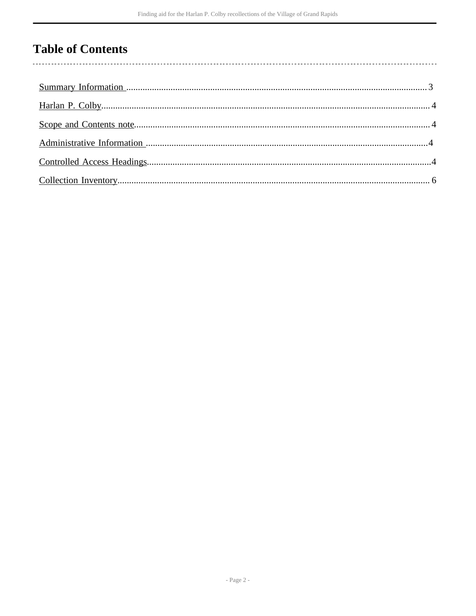## **Table of Contents**

 $\overline{\phantom{a}}$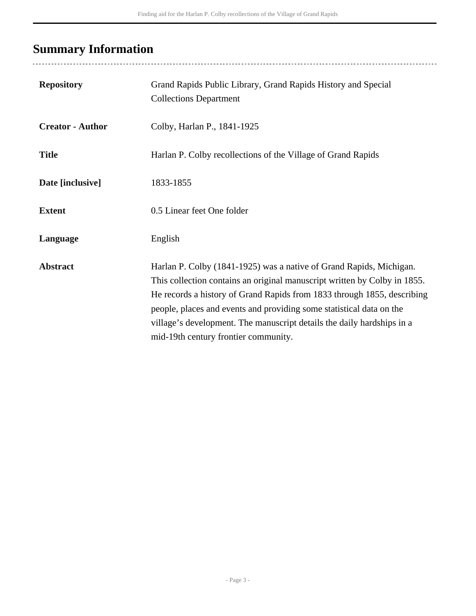# <span id="page-2-0"></span>**Summary Information**

| <b>Repository</b>       | Grand Rapids Public Library, Grand Rapids History and Special<br><b>Collections Department</b>                                                                                                                                                                                                                                                                                                                        |
|-------------------------|-----------------------------------------------------------------------------------------------------------------------------------------------------------------------------------------------------------------------------------------------------------------------------------------------------------------------------------------------------------------------------------------------------------------------|
| <b>Creator - Author</b> | Colby, Harlan P., 1841-1925                                                                                                                                                                                                                                                                                                                                                                                           |
| <b>Title</b>            | Harlan P. Colby recollections of the Village of Grand Rapids                                                                                                                                                                                                                                                                                                                                                          |
| Date [inclusive]        | 1833-1855                                                                                                                                                                                                                                                                                                                                                                                                             |
| <b>Extent</b>           | 0.5 Linear feet One folder                                                                                                                                                                                                                                                                                                                                                                                            |
| Language                | English                                                                                                                                                                                                                                                                                                                                                                                                               |
| <b>Abstract</b>         | Harlan P. Colby (1841-1925) was a native of Grand Rapids, Michigan.<br>This collection contains an original manuscript written by Colby in 1855.<br>He records a history of Grand Rapids from 1833 through 1855, describing<br>people, places and events and providing some statistical data on the<br>village's development. The manuscript details the daily hardships in a<br>mid-19th century frontier community. |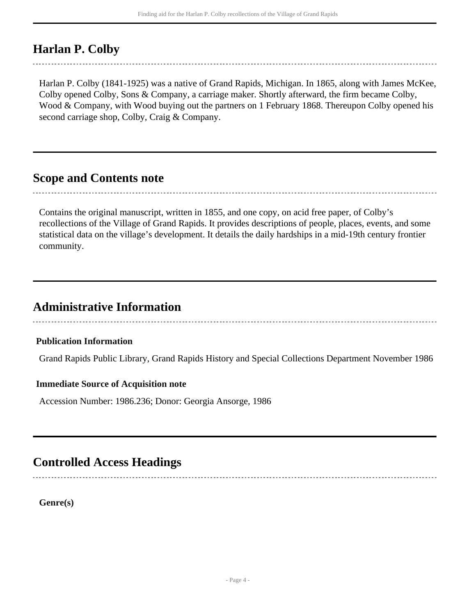## <span id="page-3-0"></span>**Harlan P. Colby**

Harlan P. Colby (1841-1925) was a native of Grand Rapids, Michigan. In 1865, along with James McKee, Colby opened Colby, Sons & Company, a carriage maker. Shortly afterward, the firm became Colby, Wood & Company, with Wood buying out the partners on 1 February 1868. Thereupon Colby opened his second carriage shop, Colby, Craig & Company.

### <span id="page-3-1"></span>**Scope and Contents note**

Contains the original manuscript, written in 1855, and one copy, on acid free paper, of Colby's recollections of the Village of Grand Rapids. It provides descriptions of people, places, events, and some statistical data on the village's development. It details the daily hardships in a mid-19th century frontier community.

## <span id="page-3-2"></span>**Administrative Information**

#### **Publication Information**

Grand Rapids Public Library, Grand Rapids History and Special Collections Department November 1986

#### **Immediate Source of Acquisition note**

Accession Number: 1986.236; Donor: Georgia Ansorge, 1986

### <span id="page-3-3"></span>**Controlled Access Headings**

**Genre(s)**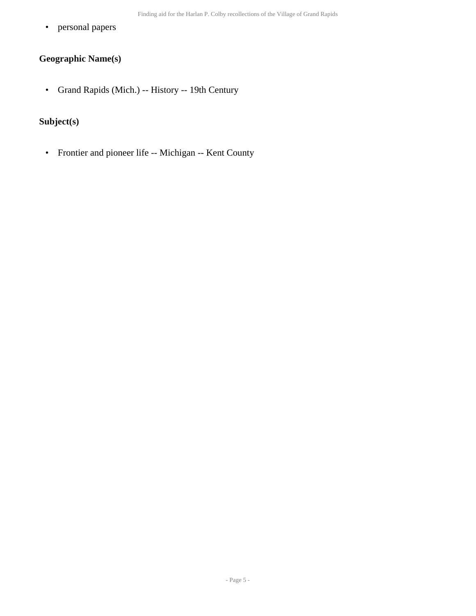• personal papers

### **Geographic Name(s)**

• Grand Rapids (Mich.) -- History -- 19th Century

### **Subject(s)**

• Frontier and pioneer life -- Michigan -- Kent County